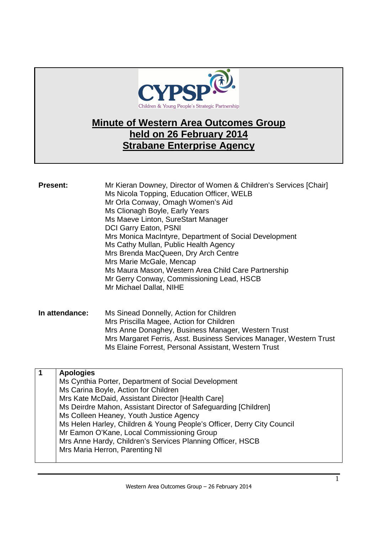

# **Minute of Western Area Outcomes Group held on 26 February 2014 Strabane Enterprise Agency**

| <b>Present:</b> | Mr Kieran Downey, Director of Women & Children's Services [Chair]<br>Ms Nicola Topping, Education Officer, WELB<br>Mr Orla Conway, Omagh Women's Aid<br>Ms Clionagh Boyle, Early Years<br>Ms Maeve Linton, SureStart Manager<br><b>DCI Garry Eaton, PSNI</b><br>Mrs Monica MacIntyre, Department of Social Development<br>Ms Cathy Mullan, Public Health Agency<br>Mrs Brenda MacQueen, Dry Arch Centre<br>Mrs Marie McGale, Mencap<br>Ms Maura Mason, Western Area Child Care Partnership<br>Mr Gerry Conway, Commissioning Lead, HSCB<br>Mr Michael Dallat, NIHE |
|-----------------|--------------------------------------------------------------------------------------------------------------------------------------------------------------------------------------------------------------------------------------------------------------------------------------------------------------------------------------------------------------------------------------------------------------------------------------------------------------------------------------------------------------------------------------------------------------------|
| In attendance:  | Ms Sinead Donnelly, Action for Children<br>Mrs Priscilla Magee, Action for Children<br>Mrs Anne Donaghey, Business Manager, Western Trust<br>Mrs Margaret Ferris, Asst. Business Services Manager, Western Trust                                                                                                                                                                                                                                                                                                                                                   |

| <b>Apologies</b>                                                       |
|------------------------------------------------------------------------|
| Ms Cynthia Porter, Department of Social Development                    |
| Ms Carina Boyle, Action for Children                                   |
| Mrs Kate McDaid, Assistant Director [Health Care]                      |
| Ms Deirdre Mahon, Assistant Director of Safeguarding [Children]        |
| Ms Colleen Heaney, Youth Justice Agency                                |
| Ms Helen Harley, Children & Young People's Officer, Derry City Council |
| Mr Eamon O'Kane, Local Commissioning Group                             |
| Mrs Anne Hardy, Children's Services Planning Officer, HSCB             |
| Mrs Maria Herron, Parenting NI                                         |
|                                                                        |

Ms Elaine Forrest, Personal Assistant, Western Trust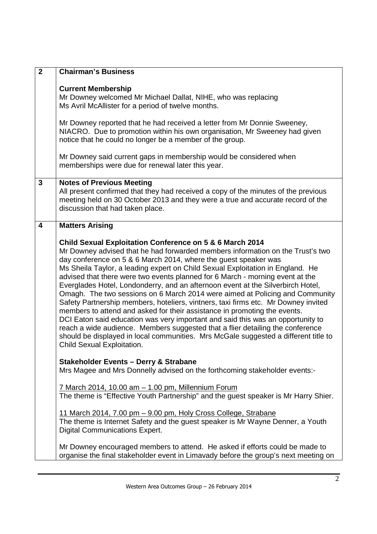| $\overline{2}$ | <b>Chairman's Business</b>                                                                                                                                                                                                                                                                                                                                                                                                                                                                                                                                                                                                                                                                                                                                                                                                                                                                                                                                                                                       |
|----------------|------------------------------------------------------------------------------------------------------------------------------------------------------------------------------------------------------------------------------------------------------------------------------------------------------------------------------------------------------------------------------------------------------------------------------------------------------------------------------------------------------------------------------------------------------------------------------------------------------------------------------------------------------------------------------------------------------------------------------------------------------------------------------------------------------------------------------------------------------------------------------------------------------------------------------------------------------------------------------------------------------------------|
|                | <b>Current Membership</b><br>Mr Downey welcomed Mr Michael Dallat, NIHE, who was replacing<br>Ms Avril McAllister for a period of twelve months.                                                                                                                                                                                                                                                                                                                                                                                                                                                                                                                                                                                                                                                                                                                                                                                                                                                                 |
|                | Mr Downey reported that he had received a letter from Mr Donnie Sweeney,<br>NIACRO. Due to promotion within his own organisation, Mr Sweeney had given<br>notice that he could no longer be a member of the group.                                                                                                                                                                                                                                                                                                                                                                                                                                                                                                                                                                                                                                                                                                                                                                                               |
|                | Mr Downey said current gaps in membership would be considered when<br>memberships were due for renewal later this year.                                                                                                                                                                                                                                                                                                                                                                                                                                                                                                                                                                                                                                                                                                                                                                                                                                                                                          |
| 3              | <b>Notes of Previous Meeting</b><br>All present confirmed that they had received a copy of the minutes of the previous<br>meeting held on 30 October 2013 and they were a true and accurate record of the<br>discussion that had taken place.                                                                                                                                                                                                                                                                                                                                                                                                                                                                                                                                                                                                                                                                                                                                                                    |
| 4              | <b>Matters Arising</b>                                                                                                                                                                                                                                                                                                                                                                                                                                                                                                                                                                                                                                                                                                                                                                                                                                                                                                                                                                                           |
|                | Child Sexual Exploitation Conference on 5 & 6 March 2014<br>Mr Downey advised that he had forwarded members information on the Trust's two<br>day conference on 5 & 6 March 2014, where the guest speaker was<br>Ms Sheila Taylor, a leading expert on Child Sexual Exploitation in England. He<br>advised that there were two events planned for 6 March - morning event at the<br>Everglades Hotel, Londonderry, and an afternoon event at the Silverbirch Hotel,<br>Omagh. The two sessions on 6 March 2014 were aimed at Policing and Community<br>Safety Partnership members, hoteliers, vintners, taxi firms etc. Mr Downey invited<br>members to attend and asked for their assistance in promoting the events.<br>DCI Eaton said education was very important and said this was an opportunity to<br>reach a wide audience. Members suggested that a flier detailing the conference<br>should be displayed in local communities. Mrs McGale suggested a different title to<br>Child Sexual Exploitation. |
|                | <b>Stakeholder Events - Derry &amp; Strabane</b><br>Mrs Magee and Mrs Donnelly advised on the forthcoming stakeholder events:-                                                                                                                                                                                                                                                                                                                                                                                                                                                                                                                                                                                                                                                                                                                                                                                                                                                                                   |
|                | 7 March 2014, 10.00 am - 1.00 pm, Millennium Forum<br>The theme is "Effective Youth Partnership" and the guest speaker is Mr Harry Shier.                                                                                                                                                                                                                                                                                                                                                                                                                                                                                                                                                                                                                                                                                                                                                                                                                                                                        |
|                | 11 March 2014, 7.00 pm - 9.00 pm, Holy Cross College, Strabane<br>The theme is Internet Safety and the guest speaker is Mr Wayne Denner, a Youth<br><b>Digital Communications Expert.</b>                                                                                                                                                                                                                                                                                                                                                                                                                                                                                                                                                                                                                                                                                                                                                                                                                        |
|                | Mr Downey encouraged members to attend. He asked if efforts could be made to<br>organise the final stakeholder event in Limavady before the group's next meeting on                                                                                                                                                                                                                                                                                                                                                                                                                                                                                                                                                                                                                                                                                                                                                                                                                                              |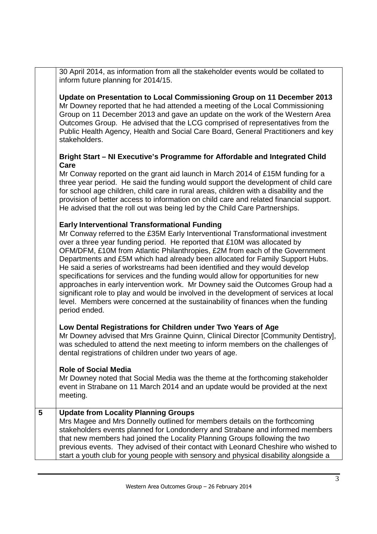30 April 2014, as information from all the stakeholder events would be collated to inform future planning for 2014/15.

**Update on Presentation to Local Commissioning Group on 11 December 2013**  Mr Downey reported that he had attended a meeting of the Local Commissioning Group on 11 December 2013 and gave an update on the work of the Western Area Outcomes Group. He advised that the LCG comprised of representatives from the Public Health Agency, Health and Social Care Board, General Practitioners and key stakeholders.

### **Bright Start – NI Executive's Programme for Affordable and Integrated Child Care**

Mr Conway reported on the grant aid launch in March 2014 of £15M funding for a three year period. He said the funding would support the development of child care for school age children, child care in rural areas, children with a disability and the provision of better access to information on child care and related financial support. He advised that the roll out was being led by the Child Care Partnerships.

## **Early Interventional Transformational Funding**

Mr Conway referred to the £35M Early Interventional Transformational investment over a three year funding period. He reported that £10M was allocated by OFM/DFM, £10M from Atlantic Philanthropies, £2M from each of the Government Departments and £5M which had already been allocated for Family Support Hubs. He said a series of workstreams had been identified and they would develop specifications for services and the funding would allow for opportunities for new approaches in early intervention work. Mr Downey said the Outcomes Group had a significant role to play and would be involved in the development of services at local level. Members were concerned at the sustainability of finances when the funding period ended.

## **Low Dental Registrations for Children under Two Years of Age**

Mr Downey advised that Mrs Grainne Quinn, Clinical Director [Community Dentistry], was scheduled to attend the next meeting to inform members on the challenges of dental registrations of children under two years of age.

## **Role of Social Media**

Mr Downey noted that Social Media was the theme at the forthcoming stakeholder event in Strabane on 11 March 2014 and an update would be provided at the next meeting.

## **5 Update from Locality Planning Groups**

Mrs Magee and Mrs Donnelly outlined for members details on the forthcoming stakeholders events planned for Londonderry and Strabane and informed members that new members had joined the Locality Planning Groups following the two previous events. They advised of their contact with Leonard Cheshire who wished to start a youth club for young people with sensory and physical disability alongside a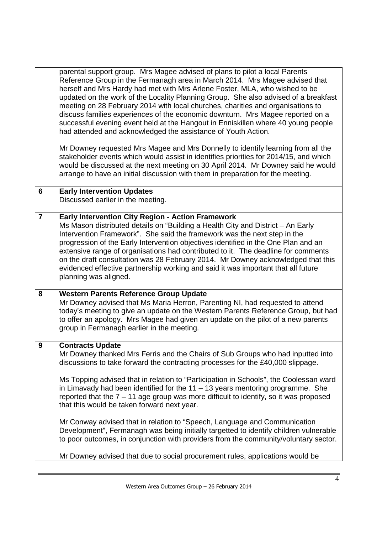|                | parental support group. Mrs Magee advised of plans to pilot a local Parents<br>Reference Group in the Fermanagh area in March 2014. Mrs Magee advised that<br>herself and Mrs Hardy had met with Mrs Arlene Foster, MLA, who wished to be<br>updated on the work of the Locality Planning Group. She also advised of a breakfast<br>meeting on 28 February 2014 with local churches, charities and organisations to<br>discuss families experiences of the economic downturn. Mrs Magee reported on a<br>successful evening event held at the Hangout in Enniskillen where 40 young people<br>had attended and acknowledged the assistance of Youth Action.<br>Mr Downey requested Mrs Magee and Mrs Donnelly to identify learning from all the                                    |
|----------------|------------------------------------------------------------------------------------------------------------------------------------------------------------------------------------------------------------------------------------------------------------------------------------------------------------------------------------------------------------------------------------------------------------------------------------------------------------------------------------------------------------------------------------------------------------------------------------------------------------------------------------------------------------------------------------------------------------------------------------------------------------------------------------|
|                | stakeholder events which would assist in identifies priorities for 2014/15, and which<br>would be discussed at the next meeting on 30 April 2014. Mr Downey said he would<br>arrange to have an initial discussion with them in preparation for the meeting.                                                                                                                                                                                                                                                                                                                                                                                                                                                                                                                       |
| 6              | <b>Early Intervention Updates</b><br>Discussed earlier in the meeting.                                                                                                                                                                                                                                                                                                                                                                                                                                                                                                                                                                                                                                                                                                             |
| $\overline{7}$ | <b>Early Intervention City Region - Action Framework</b><br>Ms Mason distributed details on "Building a Health City and District - An Early<br>Intervention Framework". She said the framework was the next step in the<br>progression of the Early Intervention objectives identified in the One Plan and an<br>extensive range of organisations had contributed to it. The deadline for comments<br>on the draft consultation was 28 February 2014. Mr Downey acknowledged that this<br>evidenced effective partnership working and said it was important that all future<br>planning was aligned.                                                                                                                                                                               |
| 8              | <b>Western Parents Reference Group Update</b><br>Mr Downey advised that Ms Maria Herron, Parenting NI, had requested to attend<br>today's meeting to give an update on the Western Parents Reference Group, but had<br>to offer an apology. Mrs Magee had given an update on the pilot of a new parents<br>group in Fermanagh earlier in the meeting.                                                                                                                                                                                                                                                                                                                                                                                                                              |
| 9              | <b>Contracts Update</b><br>Mr Downey thanked Mrs Ferris and the Chairs of Sub Groups who had inputted into<br>discussions to take forward the contracting processes for the £40,000 slippage.<br>Ms Topping advised that in relation to "Participation in Schools", the Coolessan ward<br>in Limavady had been identified for the $11 - 13$ years mentoring programme. She<br>reported that the $7 - 11$ age group was more difficult to identify, so it was proposed<br>that this would be taken forward next year.<br>Mr Conway advised that in relation to "Speech, Language and Communication<br>Development", Fermanagh was being initially targetted to identify children vulnerable<br>to poor outcomes, in conjunction with providers from the community/voluntary sector. |
|                | Mr Downey advised that due to social procurement rules, applications would be                                                                                                                                                                                                                                                                                                                                                                                                                                                                                                                                                                                                                                                                                                      |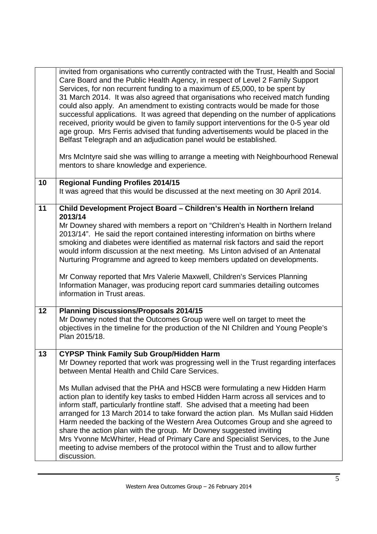|    | invited from organisations who currently contracted with the Trust, Health and Social<br>Care Board and the Public Health Agency, in respect of Level 2 Family Support<br>Services, for non recurrent funding to a maximum of £5,000, to be spent by<br>31 March 2014. It was also agreed that organisations who received match funding<br>could also apply. An amendment to existing contracts would be made for those<br>successful applications. It was agreed that depending on the number of applications<br>received, priority would be given to family support interventions for the 0-5 year old<br>age group. Mrs Ferris advised that funding advertisements would be placed in the<br>Belfast Telegraph and an adjudication panel would be established.<br>Mrs McIntyre said she was willing to arrange a meeting with Neighbourhood Renewal<br>mentors to share knowledge and experience. |
|----|------------------------------------------------------------------------------------------------------------------------------------------------------------------------------------------------------------------------------------------------------------------------------------------------------------------------------------------------------------------------------------------------------------------------------------------------------------------------------------------------------------------------------------------------------------------------------------------------------------------------------------------------------------------------------------------------------------------------------------------------------------------------------------------------------------------------------------------------------------------------------------------------------|
| 10 | <b>Regional Funding Profiles 2014/15</b><br>It was agreed that this would be discussed at the next meeting on 30 April 2014.                                                                                                                                                                                                                                                                                                                                                                                                                                                                                                                                                                                                                                                                                                                                                                         |
| 11 | Child Development Project Board - Children's Health in Northern Ireland<br>2013/14<br>Mr Downey shared with members a report on "Children's Health in Northern Ireland<br>2013/14". He said the report contained interesting information on births where<br>smoking and diabetes were identified as maternal risk factors and said the report<br>would inform discussion at the next meeting. Ms Linton advised of an Antenatal<br>Nurturing Programme and agreed to keep members updated on developments.<br>Mr Conway reported that Mrs Valerie Maxwell, Children's Services Planning<br>Information Manager, was producing report card summaries detailing outcomes<br>information in Trust areas.                                                                                                                                                                                                |
| 12 | <b>Planning Discussions/Proposals 2014/15</b><br>Mr Downey noted that the Outcomes Group were well on target to meet the<br>objectives in the timeline for the production of the NI Children and Young People's<br>Plan 2015/18.                                                                                                                                                                                                                                                                                                                                                                                                                                                                                                                                                                                                                                                                     |
| 13 | CYPSP Think Family Sub Group/Hidden Harm<br>Mr Downey reported that work was progressing well in the Trust regarding interfaces<br>between Mental Health and Child Care Services.<br>Ms Mullan advised that the PHA and HSCB were formulating a new Hidden Harm<br>action plan to identify key tasks to embed Hidden Harm across all services and to<br>inform staff, particularly frontline staff. She advised that a meeting had been<br>arranged for 13 March 2014 to take forward the action plan. Ms Mullan said Hidden<br>Harm needed the backing of the Western Area Outcomes Group and she agreed to<br>share the action plan with the group. Mr Downey suggested inviting<br>Mrs Yvonne McWhirter, Head of Primary Care and Specialist Services, to the June<br>meeting to advise members of the protocol within the Trust and to allow further<br>discussion.                              |